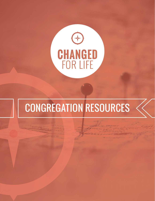

# Congregation Resources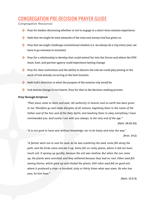## **DNGREGATION PRE-DECISION PRAYER GUIDE**

Congregation Resources

- Pray for leaders discerning whether or not to engage in a short-term mission experience.
- Seek that we might be wise stewards of the time and money God has given us.
- Pray that we might challenge conventional wisdom (i.e. we always do a trip every year; we have to go overseas to minister).
- Pray for a relationship to develop that could extend far into the future and where the STM team, host, and partner agency could experience lasting change.
- Pray for clear motivation and the ability to discern the role we could play joining in the work of God already occurring at the host location.
- Seek God's direction in what the purpose of the mission trip would be.
- God desires change in our hearts. Pray for that in the decision-making process.

#### **Pray through Scripture**

*"Then Jesus came to them and said, 'All authority in heaven and on earth has been given to me. Therefore go and make disciples of all nations, baptizing them in the name of the Father and of the Son and of the Holy Spirit, and teaching them to obey everything I have commanded you. And surely I am with you always, to the very end of the age.'"* 

(Matt. 28:18-20)

*"It is not good to have zeal without knowledge, nor to be hasty and miss the way."* (Prov. 19:2)

*"A farmer went out to sow his seed. As he was scattering the seed, some fell along the path, and the birds came and ate it up. Some fell on rocky places, where it did not have much soil. It sprang up quickly, because the soil was shallow. But when the sun came up, the plants were scorched, and they withered because they had no root. Other seed fell among thorns, which grew up and choked the plants. Still other seed fell on good soil, where it produced a crop—a hundred, sixty or thirty times what was sown. He who has ears, let him hear."*

(Matt. 13:3-9)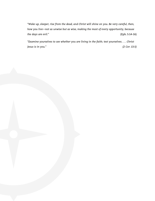*"Wake up, sleeper, rise from the dead, and Christ will shine on you. Be very careful, then, how you live—not as unwise but as wise, making the most of every opportunity, because the days are evil."* (Eph. 5:14-16)

*"Examine yourselves to see whether you are living in the faith; test yourselves. . . . Christ Jesus is in you." (2 Cor. 13:5)*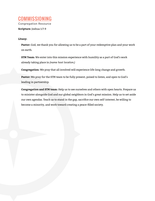### Commissioning Congregation Resource

**Scripture:** Joshua 1:7-9

#### **Litany:**

**Pastor:** God, we thank you for allowing us to be a part of your redemptive plan and your work on earth.

**STM Team:** We enter into this mission experience with humility as a part of God's work already taking place in *(name host location.)* 

**Congregation:** We pray that all involved will experience life-long change and growth.

**Pastor:** We pray for the STM team to be fully present, poised to listen, and open to God's leading in partnership.

**Congregation and STM team:** Help us to see ourselves and others with open hearts. Prepare us to minister alongside God and our global neighbors in God's great mission. Help us to set aside our own agendas. Teach us to stand in the gap, sacrifice our own self-interest, be willing to become a minority, and work toward creating a peace-filled society.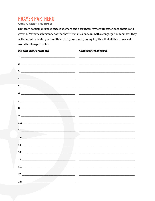## **PRAYER PARTNERS**

#### **Congregation Resources**

STM team participants need encouragement and accountability to truly experience change and growth. Partner each member of the short-term mission team with a congregation member. They will commit to holding one another up in prayer and praying together that all those involved would be changed for life.

| <b>Mission Trip Participant</b>                                                                                                                                                                                                                                                                                                                                                                                                                                         | <b>Congregation Member</b> |
|-------------------------------------------------------------------------------------------------------------------------------------------------------------------------------------------------------------------------------------------------------------------------------------------------------------------------------------------------------------------------------------------------------------------------------------------------------------------------|----------------------------|
| 1: $\overline{\phantom{a}}$                                                                                                                                                                                                                                                                                                                                                                                                                                             |                            |
|                                                                                                                                                                                                                                                                                                                                                                                                                                                                         |                            |
|                                                                                                                                                                                                                                                                                                                                                                                                                                                                         |                            |
| $\mathcal{A}:\underline{\hspace{2.5cm}}$                                                                                                                                                                                                                                                                                                                                                                                                                                |                            |
|                                                                                                                                                                                                                                                                                                                                                                                                                                                                         |                            |
|                                                                                                                                                                                                                                                                                                                                                                                                                                                                         |                            |
|                                                                                                                                                                                                                                                                                                                                                                                                                                                                         |                            |
|                                                                                                                                                                                                                                                                                                                                                                                                                                                                         |                            |
|                                                                                                                                                                                                                                                                                                                                                                                                                                                                         |                            |
|                                                                                                                                                                                                                                                                                                                                                                                                                                                                         |                            |
| 10:                                                                                                                                                                                                                                                                                                                                                                                                                                                                     |                            |
| $11:$ $\overline{\phantom{a}}$ $\overline{\phantom{a}}$ $\overline{\phantom{a}}$ $\overline{\phantom{a}}$ $\overline{\phantom{a}}$ $\overline{\phantom{a}}$ $\overline{\phantom{a}}$ $\overline{\phantom{a}}$ $\overline{\phantom{a}}$ $\overline{\phantom{a}}$ $\overline{\phantom{a}}$ $\overline{\phantom{a}}$ $\overline{\phantom{a}}$ $\overline{\phantom{a}}$ $\overline{\phantom{a}}$ $\overline{\phantom{a}}$ $\overline{\phantom{a}}$ $\overline{\phantom{a}}$ |                            |
| 12:                                                                                                                                                                                                                                                                                                                                                                                                                                                                     |                            |
|                                                                                                                                                                                                                                                                                                                                                                                                                                                                         |                            |
| 14:                                                                                                                                                                                                                                                                                                                                                                                                                                                                     |                            |
|                                                                                                                                                                                                                                                                                                                                                                                                                                                                         |                            |
|                                                                                                                                                                                                                                                                                                                                                                                                                                                                         |                            |
| 17:                                                                                                                                                                                                                                                                                                                                                                                                                                                                     |                            |
| 18:                                                                                                                                                                                                                                                                                                                                                                                                                                                                     |                            |
|                                                                                                                                                                                                                                                                                                                                                                                                                                                                         |                            |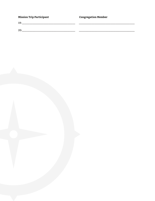| <b>Mission Trip Participant</b> | <b>Congregation Member</b> |
|---------------------------------|----------------------------|
| 19:                             |                            |
|                                 |                            |
| 20:                             |                            |

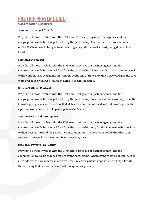## Pre-trip Prayer Guide

Congregation Resources

#### **Session 1: Changed for Life**

Pray that all those involved with the STM team, the host group or partner agency, and the congregation would be changed for life by the partnership. Ask that the hearts of everyone on the STM team would be open to ministering alongside the work already being done in host location.

#### **Session 2: Missio Dei**

Pray that all those involved with the STM team, host group or partner agency, and the congregation would be changed for life by the partnership. Thank God that we can be connected to his work that has been going on from the beginning of time. Pray that God would give the STM team eyes to see what God is already doing in the host location.

#### **Session 3: Global Contrasts**

Pray that all those involved with the STM team, host group or partner agency, and the congregation would be changed for life by the partnership. Pray that everyone would grow in the knowledge of global contrasts. Pray that all hearts would be softened by this knowledge and that a passion would move in us to participate in God's work.

#### **Session 4: Cultural Intelligence**

Pray that all those involved with the STM team, host group or partner agency, and the congregation would be changed for life by the partnership. Pray for the STM team to be sensitive to their host culture and the people they encounter. Pray that everyone could offer that same respect to the people we encounter in our everyday lives.

#### **Session 5: Poverty Is a Reality**

Pray that all those involved with the STM team, host group or partner agency, and the congregation would be changed for life by the partnership. When seeing others' poverty, help us all to address the brokenness in our own lives. Pray for a partnership that might help alleviate the suffering that our brothers and sisters experience globally.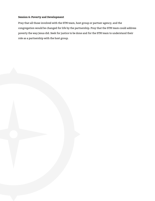#### **Session 6: Poverty and Development**

Pray that all those involved with the STM team, host group or partner agency, and the congregation would be changed for life by the partnership. Pray that the STM team could address poverty the way Jesus did. Seek for justice to be done and for the STM team to understand their role as a partnership with the host group.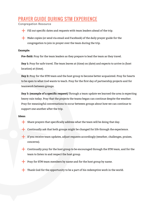## Prayer Guide During STM Experience

Congregation Resource

Fill out specific dates and requests with team leaders ahead of the trip.

Make copies (or send via email and Facebook) of the daily prayer guide for the congregation to join in prayer over the team during the trip.

#### **Example:**

**Pre-field:** Pray for the team leaders as they prepare to lead the team as they travel.

**Day 1:** Pray for safe travel. The team leaves at (time) on (date) and expects to arrive in (host location) at (time).

**Day 2:** Pray for the STM team and the host group to become better acquainted. Pray for hearts to be open to what God wants to teach. Pray for the first day of partnership projects and for teamwork between groups.

**Day 3: (example of a specific request)** Through a team update we learned the area is expecting heavy rain today. Pray that the projects the teams began can continue despite the weather. Pray for meaningful conversations to occur between groups about how we can continue to support one another after the trip.

#### **Ideas:**

- Share prayers that specifically address what the team will be doing that day.
- Continually ask that both groups might be changed for life through the experience.
- If you receive team updates, adjust requests accordingly (weather, challenges, praises, concerns).
- Continually pray for the host group to be encouraged through the STM team, and for the team to listen to and respect the host group.
- Pray for STM team members by name and for the host group by name.
- Thank God for the opportunity to be a part of his redemptive work in the world.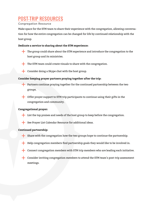## Post-Trip Resources

#### Congregation Resource

Make space for the STM team to share their experience with the congregation, allowing conversation for how the entire congregation can be changed for life by continued relationship with the host group.

#### **Dedicate a service to sharing about the STM experience:**

The group could share about the STM experience and introduce the congregation to the host group and its ministries.



- The STM team could create visuals to share with the congregation.
- Consider doing a Skype chat with the host group.

#### **Consider keeping prayer partners praying together after the trip:**

- Partners continue praying together for the continued partnership between the two groups.
- Offer prayer support to STM trip participants to continue using their gifts in the congregation and community.

#### **Congregational prayer:**

- List the top praises and needs of the host group to keep before the congregation.
- See Prayer List Calendar Resource for additional ideas.

#### **Continued partnership:**

- Share with the congregation how the two groups hope to continue the partnership.
- Help congregation members find partnership goals they would like to be involved in.
- Connect congregation members with STM trip members who are leading each initiative.
- Consider inviting congregation members to attend the STM team's post-trip assessment meetings.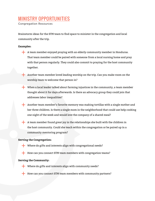## **NISTRY OPPORTUNITIES**

Congregation Resources

Brainstorm ideas for the STM team to find space to minister in the congregation and local community after the trip.

#### **Examples:**

- A team member enjoyed praying with an elderly community member in Honduras. That team member could be paired with someone from a local nursing home and pray with that person regularly. They could also commit to praying for the host community together.
	- Another team member loved leading worship on the trip. Can you make room on the worship team to welcome that person in?
- When a local leader talked about farming injustices in the community, a team member thought about it for days afterwards. Is there an advocacy group they could join that addresses labor inequalities?
- Another team member's favorite memory was making tortillas with a single mother and her three children. Is there a single mom in the neighborhood that could use help cooking one night of the week and would love the company of a shared meal?
- A team member found great joy in the relationships she built with the children in the host community. Could she teach within the congregation or be paired up in a community mentoring program?

#### **Serving the Congregation:**

- Where do gifts and interests align with congregational needs?
- How can you connect STM team members with congregation teams?

#### **Serving the Community:**

- Where do gifts and interests align with community needs?
- How can you connect STM team members with community partners?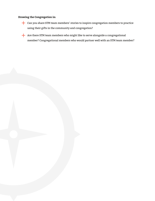#### **Drawing the Congregation in:**

Can you share STM team members' stories to inspire congregation members to practice using their gifts in the community and congregation?

Are there STM team members who might like to serve alongside a congregational member? Congregational members who would partner well with an STM team member?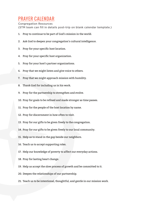## Prayer Calendar

Congregation Resources (STM team can fill in details post-trip on blank calendar template.)

- 1. Pray to continue to be part of God's mission in the world.
- 2. Ask God to deepen your congregation's cultural intelligence.
- 3. Pray for your specific host location.
- 4. Pray for your specific host organization.
- 5. Pray for your host's partner organizations.
- 6. Pray that we might listen and give voice to others.
- 7. Pray that we might approach mission with humility.
- 8. Thank God for including us in his work.
- 9. Pray for the partnership to strengthen and evolve.
- 10. Pray for goals to be refined and made stronger as time passes.
- 11. Pray for the people of the host location by name.
- 12. Pray for discernment in how often to visit.
- 13. Pray for our gifts to be given freely to the congregation.
- 14. Pray for our gifts to be given freely to our local community.
- 15. Help us to stand in the gap beside our neighbors.
- 16. Teach us to accept supporting roles.
- 17. Help our knowledge of poverty to affect our everyday actions.
- 18. Pray for lasting heart change.
- 19. Help us accept the slow process of growth and be committed to it.
- 20. Deepen the relationships of our partnership.
- 21. Teach us to be intentional, thoughtful, and gentle in our mission work.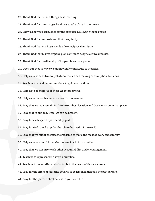22. Thank God for the new things he is teaching.

23. Thank God for the changes he allows to take place in our hearts.

24. Show us how to seek justice for the oppressed, allowing them a voice.

25. Thank God for our hosts and their hospitality.

26. Thank God that our hosts would allow reciprocal ministry.

27. Thank God that his redemptive plan continues despite our weaknesses.

28. Thank God for the diversity of his people and our planet.

29. Open our eyes to ways we unknowingly contribute to injustice.

30. Help us to be sensitive to global contrasts when making consumption decisions.

31. Teach us to not allow assumptions to guide our actions.

32. Help us to be mindful of those we interact with.

33. Help us to remember we are stewards, not owners.

34. Pray that we may remain faithful to our host location and God's mission in that place.

35. Pray that in our busy lives, we can be present.

36. Pray for each specific partnership goal.

37. Pray for God to wake up the church to the needs of the world.

38. Pray that we might exercise stewardship to make the most of every opportunity.

39. Help us to be mindful that God is close to all of his creation.

40. Pray that we can offer each other accountability and encouragement.

41. Teach us to represent Christ with humility.

42. Teach us to be mindful and adaptable to the needs of those we serve.

43. Pray for the stress of material poverty to be lessened through the partnership.

44. Pray for the places of brokenness in your own life.